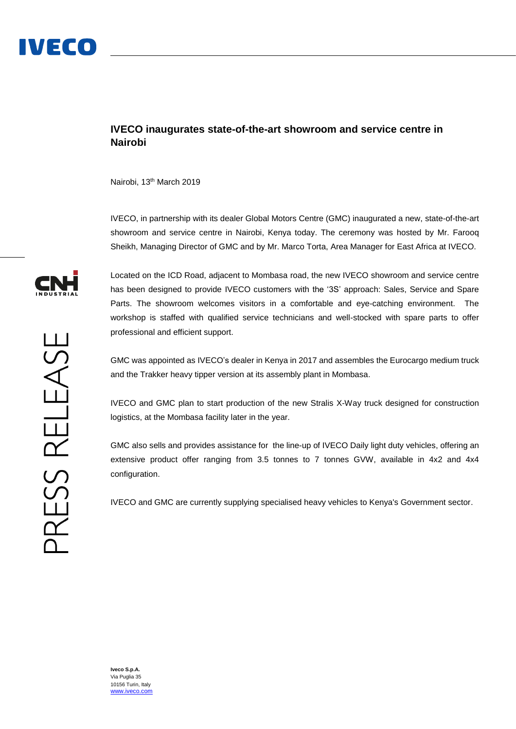## **IVECO inaugurates state-of-the-art showroom and service centre in Nairobi**

Nairobi, 13<sup>th</sup> March 2019

IVECO, in partnership with its dealer Global Motors Centre (GMC) inaugurated a new, state-of-the-art showroom and service centre in Nairobi, Kenya today. The ceremony was hosted by Mr. Farooq Sheikh, Managing Director of GMC and by Mr. Marco Torta, Area Manager for East Africa at IVECO.



PRESS RELEASE

Located on the ICD Road, adjacent to Mombasa road, the new IVECO showroom and service centre has been designed to provide IVECO customers with the '3S' approach: Sales, Service and Spare Parts. The showroom welcomes visitors in a comfortable and eye-catching environment. The workshop is staffed with qualified service technicians and well-stocked with spare parts to offer professional and efficient support.

GMC was appointed as IVECO's dealer in Kenya in 2017 and assembles the Eurocargo medium truck and the Trakker heavy tipper version at its assembly plant in Mombasa.

IVECO and GMC plan to start production of the new Stralis X-Way truck designed for construction logistics, at the Mombasa facility later in the year.

GMC also sells and provides assistance for the line-up of IVECO Daily light duty vehicles, offering an extensive product offer ranging from 3.5 tonnes to 7 tonnes GVW, available in 4x2 and 4x4 configuration.

IVECO and GMC are currently supplying specialised heavy vehicles to Kenya's Government sector.